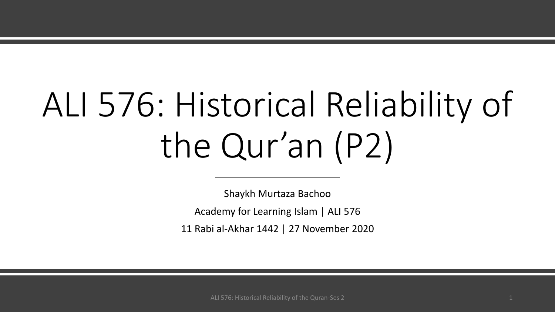# ALI 576: Historical Reliability of the Qur'an (P2)

Shaykh Murtaza Bachoo Academy for Learning Islam | ALI 576 11 Rabi al-Akhar 1442 | 27 November 2020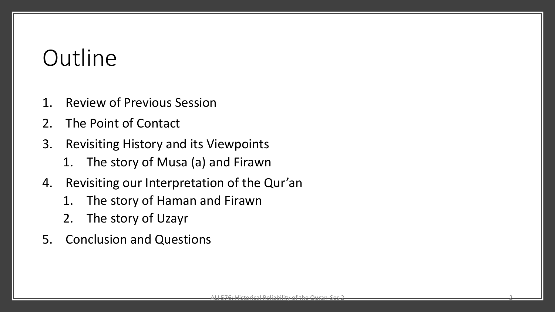### **Outline**

- 1. Review of Previous Session
- 2. The Point of Contact
- 3. Revisiting History and its Viewpoints
	- 1. The story of Musa (a) and Firawn
- 4. Revisiting our Interpretation of the Qur'an
	- 1. The story of Haman and Firawn
	- 2. The story of Uzayr
- 5. Conclusion and Questions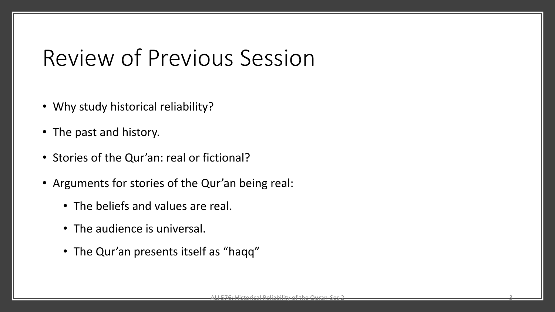#### Review of Previous Session

- Why study historical reliability?
- The past and history.
- Stories of the Qur'an: real or fictional?
- Arguments for stories of the Qur'an being real:
	- The beliefs and values are real.
	- The audience is universal.
	- The Qur'an presents itself as "haqq"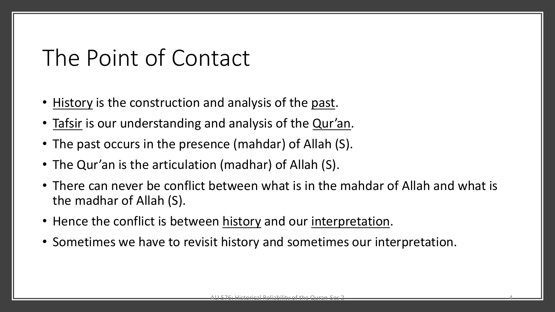#### The Point of Contact

- History is the construction and analysis of the past.
- Tafsir is our understanding and analysis of the Qur'an.
- The past occurs in the presence (mahdar) of Allah (S).
- The Qur'an is the articulation (madhar) of Allah (S).
- There can never be conflict between what is in the mahdar of Allah and what is the madhar of Allah (S).
- Hence the conflict is between history and our interpretation.
- Sometimes we have to revisit history and sometimes our interpretation.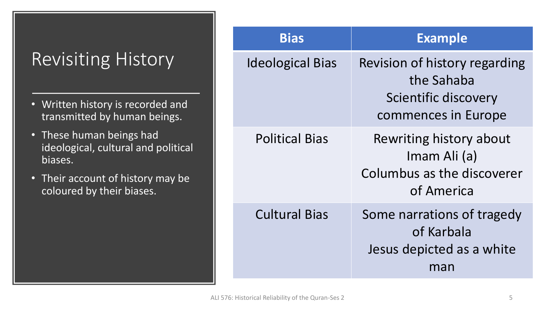#### Revisiting History

- Written history is recorded and transmitted by human beings.
- These human beings had ideological, cultural and political biases.
- Their account of history may be coloured by their biases.

| <b>Bias</b>             | <b>Example</b>                                                                             |
|-------------------------|--------------------------------------------------------------------------------------------|
| <b>Ideological Bias</b> | Revision of history regarding<br>the Sahaba<br>Scientific discovery<br>commences in Europe |
| <b>Political Bias</b>   | Rewriting history about<br>Imam Ali (a)<br>Columbus as the discoverer<br>of America        |
| <b>Cultural Bias</b>    | Some narrations of tragedy<br>of Karbala<br>Jesus depicted as a white<br>man               |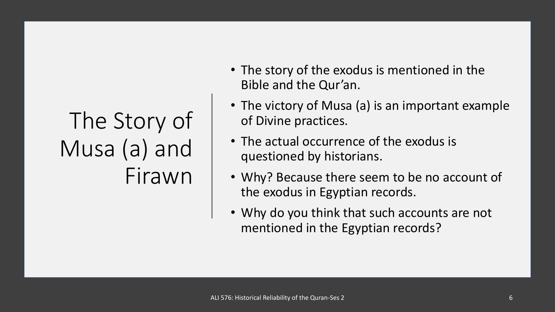## The Story of Musa (a) and Firawn

- The story of the exodus is mentioned in the Bible and the Qur'an.
- The victory of Musa (a) is an important example of Divine practices.
- The actual occurrence of the exodus is questioned by historians.
- Why? Because there seem to be no account of the exodus in Egyptian records.
- Why do you think that such accounts are not mentioned in the Egyptian records?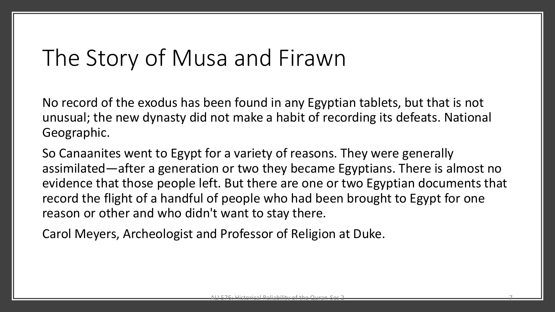#### The Story of Musa and Firawn

No record of the exodus has been found in any Egyptian tablets, but that is not unusual; the new dynasty did not make a habit of recording its defeats. National Geographic.

So Canaanites went to Egypt for a variety of reasons. They were generally assimilated—after a generation or two they became Egyptians. There is almost no evidence that those people left. But there are one or two Egyptian documents that record the flight of a handful of people who had been brought to Egypt for one reason or other and who didn't want to stay there.

Carol Meyers, Archeologist and Professor of Religion at Duke.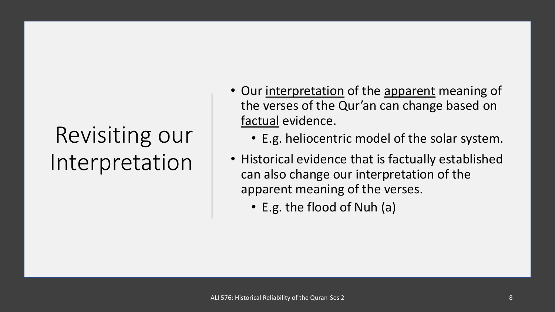## Revisiting our Interpretation

- Our interpretation of the apparent meaning of the verses of the Qur'an can change based on factual evidence.
	- E.g. heliocentric model of the solar system.
- Historical evidence that is factually established can also change our interpretation of the apparent meaning of the verses.
	- E.g. the flood of Nuh (a)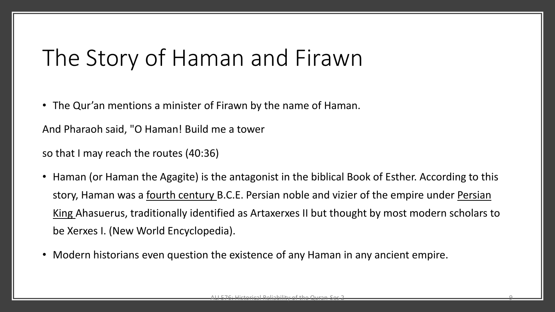#### The Story of Haman and Firawn

• The Qur'an mentions a minister of Firawn by the name of Haman.

And Pharaoh said, "O Haman! Build me a tower

so that I may reach the routes (40:36)

- Haman (or Haman the Agagite) is the antagonist in the biblical Book of Esther. According to this story, Haman was a fourth century B.C.E. Persian noble and vizier of the empire under Persian King Ahasuerus, traditionally identified as Artaxerxes II but thought by most modern scholars to be Xerxes I. (New World Encyclopedia).
- Modern historians even question the existence of any Haman in any ancient empire.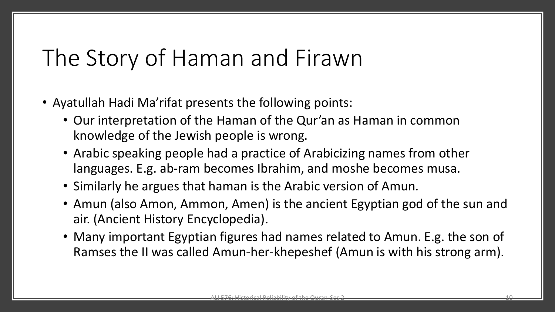### The Story of Haman and Firawn

- Ayatullah Hadi Ma'rifat presents the following points:
	- Our interpretation of the Haman of the Qur'an as Haman in common knowledge of the Jewish people is wrong.
	- Arabic speaking people had a practice of Arabicizing names from other languages. E.g. ab-ram becomes Ibrahim, and moshe becomes musa.
	- Similarly he argues that haman is the Arabic version of Amun.
	- Amun (also Amon, Ammon, Amen) is the ancient Egyptian god of the sun and air. (Ancient History Encyclopedia).
	- Many important Egyptian figures had names related to Amun. E.g. the son of Ramses the II was called Amun-her-khepeshef (Amun is with his strong arm).